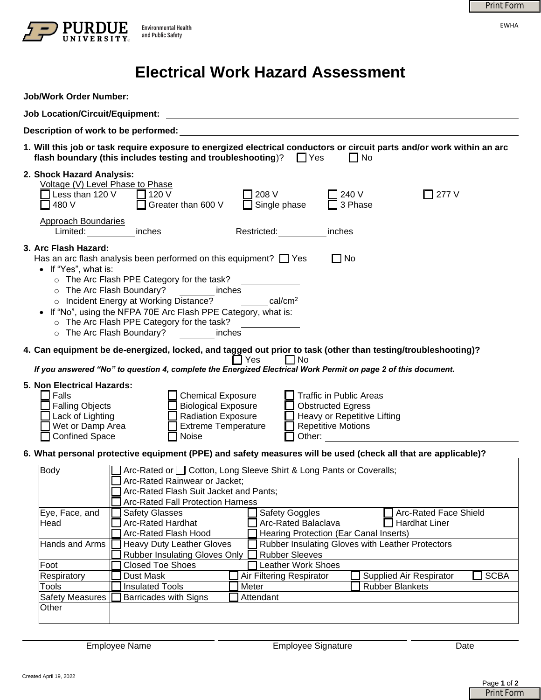

## **Electrical Work Hazard Assessment**

|                                                                                                                                       |                                                                                                                                                                                                                                                                                                                                                                            |                                                                                                                                 |                                                                                                                                      | <b>Print Form</b>                |
|---------------------------------------------------------------------------------------------------------------------------------------|----------------------------------------------------------------------------------------------------------------------------------------------------------------------------------------------------------------------------------------------------------------------------------------------------------------------------------------------------------------------------|---------------------------------------------------------------------------------------------------------------------------------|--------------------------------------------------------------------------------------------------------------------------------------|----------------------------------|
|                                                                                                                                       | <b>Environmental Health</b><br>and Public Safety                                                                                                                                                                                                                                                                                                                           |                                                                                                                                 |                                                                                                                                      | <b>EWHA</b>                      |
|                                                                                                                                       |                                                                                                                                                                                                                                                                                                                                                                            | <b>Electrical Work Hazard Assessment</b>                                                                                        |                                                                                                                                      |                                  |
| <b>Job/Work Order Number:</b>                                                                                                         |                                                                                                                                                                                                                                                                                                                                                                            | <u> 1989 - Johann Stoff, deutscher Stoffen und der Stoffen und der Stoffen und der Stoffen und der Stoffen und der</u>          |                                                                                                                                      |                                  |
| <b>Job Location/Circuit/Equipment:</b>                                                                                                |                                                                                                                                                                                                                                                                                                                                                                            |                                                                                                                                 |                                                                                                                                      |                                  |
| Description of work to be performed:                                                                                                  |                                                                                                                                                                                                                                                                                                                                                                            | <u> 1989 - Johann Barbara, marka a shekara tsa 1989 - An tsa 1989 - An tsa 1989 - An tsa 1989 - An tsa 1989 - An</u>            |                                                                                                                                      |                                  |
|                                                                                                                                       | flash boundary (this includes testing and troubleshooting)? $\Box$ Yes                                                                                                                                                                                                                                                                                                     |                                                                                                                                 | 1. Will this job or task require exposure to energized electrical conductors or circuit parts and/or work within an arc<br>$\Box$ No |                                  |
| 2. Shock Hazard Analysis:<br>Voltage (V) Level Phase to Phase                                                                         |                                                                                                                                                                                                                                                                                                                                                                            |                                                                                                                                 |                                                                                                                                      |                                  |
| Less than 120 V<br>480 V                                                                                                              | 120 V<br>Greater than 600 V                                                                                                                                                                                                                                                                                                                                                | 208 V<br>Single phase                                                                                                           | 7 240 V<br>∏ 277 V<br>3 Phase                                                                                                        |                                  |
| <b>Approach Boundaries</b><br>Limited: <b>Example</b>                                                                                 | inches                                                                                                                                                                                                                                                                                                                                                                     | Restricted: New<br>inches                                                                                                       |                                                                                                                                      |                                  |
| 3. Arc Flash Hazard:<br>• If "Yes", what is:                                                                                          | Has an arc flash analysis been performed on this equipment? $\Box$ Yes<br>o The Arc Flash PPE Category for the task?<br>o The Arc Flash Boundary? inches<br>o Incident Energy at Working Distance?<br>• If "No", using the NFPA 70E Arc Flash PPE Category, what is:<br>○ The Arc Flash PPE Category for the task?<br>o The Arc Flash Boundary?<br><b>Example 1</b> inches | $\vert \mathbf{v} \vert$<br><b>Cal/cm<sup>2</sup></b><br>$\vert \blacktriangledown \vert$                                       | $\Box$ No                                                                                                                            |                                  |
|                                                                                                                                       |                                                                                                                                                                                                                                                                                                                                                                            | T Yes<br>l INo<br>If you answered "No" to question 4, complete the Energized Electrical Work Permit on page 2 of this document. | 4. Can equipment be de-energized, locked, and tagged out prior to task (other than testing/troubleshooting)?                         |                                  |
| 5. Non Electrical Hazards:<br>$\Box$ Falls<br><b>Falling Objects</b><br>Lack of Lighting<br>Wet or Damp Area<br><b>Confined Space</b> | <b>Chemical Exposure</b><br><b>Biological Exposure</b><br><b>Radiation Exposure</b><br><b>Extreme Temperature</b><br>Noise                                                                                                                                                                                                                                                 | Traffic in Public Areas<br><b>Obstructed Egress</b><br><b>Repetitive Motions</b><br>Other:                                      | Heavy or Repetitive Lifting                                                                                                          |                                  |
|                                                                                                                                       |                                                                                                                                                                                                                                                                                                                                                                            |                                                                                                                                 | 6. What personal protective equipment (PPE) and safety measures will be used (check all that are applicable)?                        |                                  |
| <b>Body</b><br>Eye, Face, and                                                                                                         | Arc-Rated Rainwear or Jacket;<br>Arc-Rated Flash Suit Jacket and Pants;<br><b>Arc-Rated Fall Protection Harness</b><br><b>Safety Glasses</b>                                                                                                                                                                                                                               | Arc-Rated or Cotton, Long Sleeve Shirt & Long Pants or Coveralls;<br><b>Safety Goggles</b>                                      | <b>Arc-Rated Face Shield</b>                                                                                                         |                                  |
| Head                                                                                                                                  | <b>Arc-Rated Hardhat</b><br>Arc-Rated Balaclava<br><b>Hardhat Liner</b><br>Arc-Rated Flash Hood<br>Hearing Protection (Ear Canal Inserts)                                                                                                                                                                                                                                  |                                                                                                                                 |                                                                                                                                      |                                  |
| Hands and Arms                                                                                                                        | <b>Heavy Duty Leather Gloves</b><br><b>Rubber Insulating Gloves Only</b>                                                                                                                                                                                                                                                                                                   | <b>Rubber Sleeves</b>                                                                                                           | Rubber Insulating Gloves with Leather Protectors                                                                                     |                                  |
| Foot                                                                                                                                  | <b>Closed Toe Shoes</b>                                                                                                                                                                                                                                                                                                                                                    | <b>Leather Work Shoes</b>                                                                                                       |                                                                                                                                      |                                  |
| Respiratory<br>Tools                                                                                                                  | Dust Mask<br><b>Insulated Tools</b>                                                                                                                                                                                                                                                                                                                                        | Air Filtering Respirator<br>Meter                                                                                               | Supplied Air Respirator<br><b>Rubber Blankets</b>                                                                                    | <b>SCBA</b>                      |
| <b>Safety Measures</b><br>Other                                                                                                       | <b>Barricades with Signs</b>                                                                                                                                                                                                                                                                                                                                               | Attendant                                                                                                                       |                                                                                                                                      |                                  |
|                                                                                                                                       | <b>Employee Name</b>                                                                                                                                                                                                                                                                                                                                                       | <b>Employee Signature</b>                                                                                                       |                                                                                                                                      | Date                             |
| Created April 19, 2022                                                                                                                |                                                                                                                                                                                                                                                                                                                                                                            |                                                                                                                                 |                                                                                                                                      | Page 1 of 2<br><b>Print Form</b> |